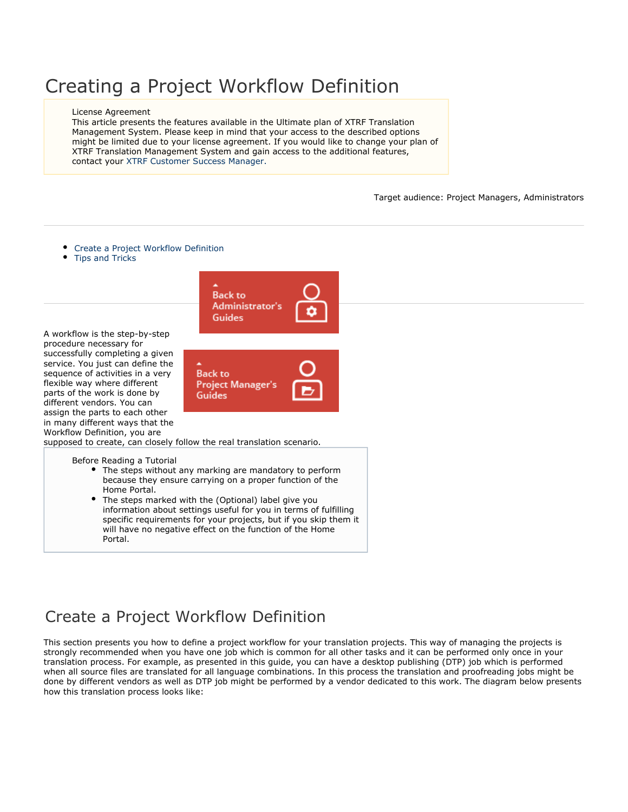# Creating a Project Workflow Definition

### License Agreement

This article presents the features available in the Ultimate plan of XTRF Translation Management System. Please keep in mind that your access to the described options might be limited due to your license agreement. If you would like to change your plan of XTRF Translation Management System and gain access to the additional features, contact your XTRF Customer Success Manager.

Target audience: Project Managers, Administrators

- [Create a Project Workflow Definition](#page-0-0)
- [Tips and Tricks](#page-5-0)



A workflow is the step-by-step procedure necessary for successfully completing a given service. You just can define the sequence of activities in a very flexible way where different parts of the work is done by different vendors. You can assign the parts to each other in many different ways that the Workflow Definition, you are

supposed to create, can closely follow the real translation scenario.

- Before Reading a Tutorial
	- The steps without any marking are mandatory to perform because they ensure carrying on a proper function of the Home Portal.
	- The steps marked with the (Optional) label give you information about settings useful for you in terms of fulfilling specific requirements for your projects, but if you skip them it will have no negative effect on the function of the Home Portal.

## <span id="page-0-0"></span>Create a Project Workflow Definition

This section presents you how to define a project workflow for your translation projects. This way of managing the projects is strongly recommended when you have one job which is common for all other tasks and it can be performed only once in your translation process. For example, as presented in this guide, you can have a desktop publishing (DTP) job which is performed when all source files are translated for all language combinations. In this process the translation and proofreading jobs might be done by different vendors as well as DTP job might be performed by a vendor dedicated to this work. The diagram below presents how this translation process looks like: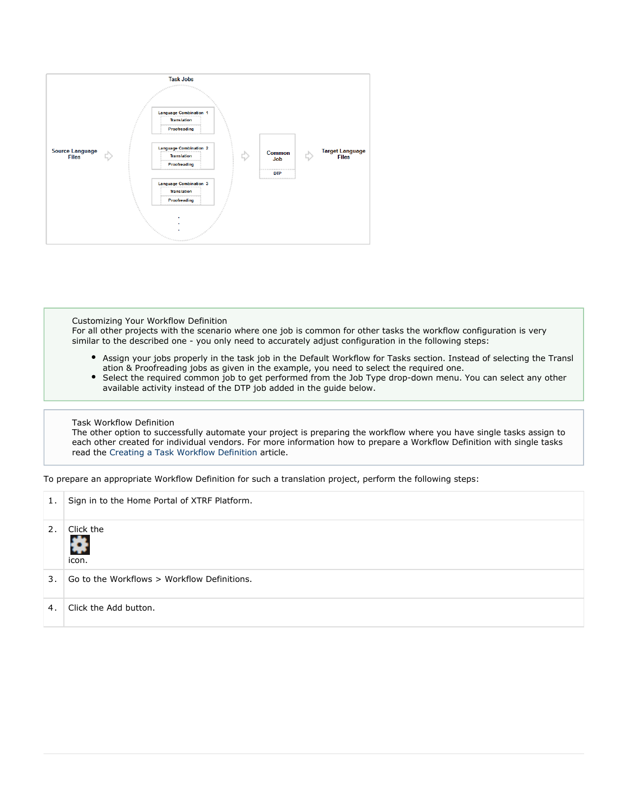

#### Customizing Your Workflow Definition

For all other projects with the scenario where one job is common for other tasks the workflow configuration is very similar to the described one - you only need to accurately adjust configuration in the following steps:

- Assign your jobs properly in the task job in the Default Workflow for Tasks section. Instead of selecting the Transl ation & Proofreading jobs as given in the example, you need to select the required one.
- $\bullet$ Select the required common job to get performed from the Job Type drop-down menu. You can select any other available activity instead of the DTP job added in the guide below.

### Task Workflow Definition

The other option to successfully automate your project is preparing the workflow where you have single tasks assign to each other created for individual vendors. For more information how to prepare a Workflow Definition with single tasks read the [Creating a Task Workflow Definition](https://knowledgebase.xtrf.eu/display/XTRFHelp/Creating+a+Task+Workflow+Definition) article.

To prepare an appropriate Workflow Definition for such a translation project, perform the following steps:

| 1. | Sign in to the Home Portal of XTRF Platform. |
|----|----------------------------------------------|
| 2. | Click the<br>쥬<br>icon.                      |
| 3. | Go to the Workflows > Workflow Definitions.  |
| 4. | Click the Add button.                        |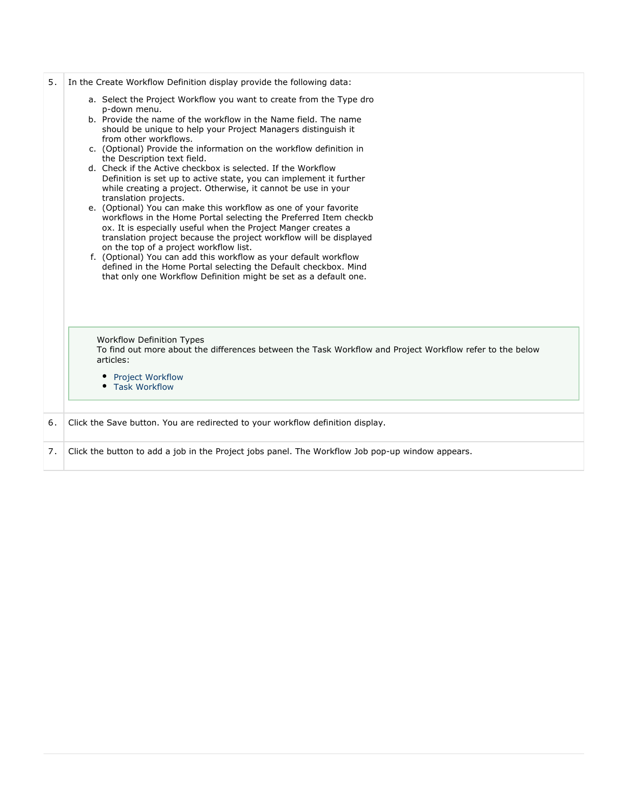| 5. | In the Create Workflow Definition display provide the following data:                                                                                                                                                                                                       |
|----|-----------------------------------------------------------------------------------------------------------------------------------------------------------------------------------------------------------------------------------------------------------------------------|
|    | a. Select the Project Workflow you want to create from the Type dro<br>p-down menu.<br>b. Provide the name of the workflow in the Name field. The name                                                                                                                      |
|    | should be unique to help your Project Managers distinguish it<br>from other workflows.<br>c. (Optional) Provide the information on the workflow definition in                                                                                                               |
|    | the Description text field.                                                                                                                                                                                                                                                 |
|    | d. Check if the Active checkbox is selected. If the Workflow<br>Definition is set up to active state, you can implement it further<br>while creating a project. Otherwise, it cannot be use in your<br>translation projects.                                                |
|    | e. (Optional) You can make this workflow as one of your favorite<br>workflows in the Home Portal selecting the Preferred Item checkb<br>ox. It is especially useful when the Project Manger creates a<br>translation project because the project workflow will be displayed |
|    | on the top of a project workflow list.<br>f. (Optional) You can add this workflow as your default workflow                                                                                                                                                                  |
|    | defined in the Home Portal selecting the Default checkbox. Mind<br>that only one Workflow Definition might be set as a default one.                                                                                                                                         |
|    | <b>Workflow Definition Types</b><br>To find out more about the differences between the Task Workflow and Project Workflow refer to the below                                                                                                                                |
|    | articles:                                                                                                                                                                                                                                                                   |
|    | <b>Project Workflow</b><br>• Task Workflow                                                                                                                                                                                                                                  |
| 6. | Click the Save button. You are redirected to your workflow definition display.                                                                                                                                                                                              |
| 7. | Click the button to add a job in the Project jobs panel. The Workflow Job pop-up window appears.                                                                                                                                                                            |
|    |                                                                                                                                                                                                                                                                             |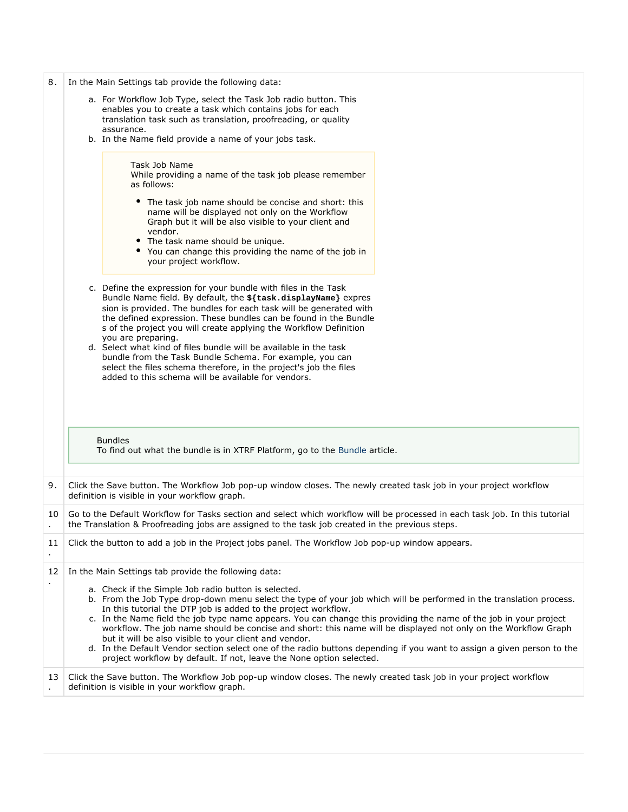| 8. | In the Main Settings tab provide the following data:<br>a. For Workflow Job Type, select the Task Job radio button. This<br>enables you to create a task which contains jobs for each<br>translation task such as translation, proofreading, or quality                                                                                                                                                                                                                                                                                                                                                                                                                                  |
|----|------------------------------------------------------------------------------------------------------------------------------------------------------------------------------------------------------------------------------------------------------------------------------------------------------------------------------------------------------------------------------------------------------------------------------------------------------------------------------------------------------------------------------------------------------------------------------------------------------------------------------------------------------------------------------------------|
|    | assurance.<br>b. In the Name field provide a name of your jobs task.                                                                                                                                                                                                                                                                                                                                                                                                                                                                                                                                                                                                                     |
|    | Task Job Name<br>While providing a name of the task job please remember<br>as follows:<br>The task job name should be concise and short: this<br>name will be displayed not only on the Workflow<br>Graph but it will be also visible to your client and<br>vendor.<br>• The task name should be unique.<br>• You can change this providing the name of the job in<br>your project workflow.                                                                                                                                                                                                                                                                                             |
|    | c. Define the expression for your bundle with files in the Task<br>Bundle Name field. By default, the \${task.displayName} expres<br>sion is provided. The bundles for each task will be generated with<br>the defined expression. These bundles can be found in the Bundle<br>s of the project you will create applying the Workflow Definition<br>you are preparing.<br>d. Select what kind of files bundle will be available in the task<br>bundle from the Task Bundle Schema. For example, you can<br>select the files schema therefore, in the project's job the files<br>added to this schema will be available for vendors.                                                      |
|    | <b>Bundles</b><br>To find out what the bundle is in XTRF Platform, go to the Bundle article.                                                                                                                                                                                                                                                                                                                                                                                                                                                                                                                                                                                             |
| 9. | Click the Save button. The Workflow Job pop-up window closes. The newly created task job in your project workflow<br>definition is visible in your workflow graph.                                                                                                                                                                                                                                                                                                                                                                                                                                                                                                                       |
| 10 | Go to the Default Workflow for Tasks section and select which workflow will be processed in each task job. In this tutorial<br>the Translation & Proofreading jobs are assigned to the task job created in the previous steps.                                                                                                                                                                                                                                                                                                                                                                                                                                                           |
| 11 | Click the button to add a job in the Project jobs panel. The Workflow Job pop-up window appears.                                                                                                                                                                                                                                                                                                                                                                                                                                                                                                                                                                                         |
| 12 | In the Main Settings tab provide the following data:<br>a. Check if the Simple Job radio button is selected.                                                                                                                                                                                                                                                                                                                                                                                                                                                                                                                                                                             |
|    | b. From the Job Type drop-down menu select the type of your job which will be performed in the translation process.<br>In this tutorial the DTP job is added to the project workflow.<br>c. In the Name field the job type name appears. You can change this providing the name of the job in your project<br>workflow. The job name should be concise and short: this name will be displayed not only on the Workflow Graph<br>but it will be also visible to your client and vendor.<br>d. In the Default Vendor section select one of the radio buttons depending if you want to assign a given person to the<br>project workflow by default. If not, leave the None option selected. |
| 13 | Click the Save button. The Workflow Job pop-up window closes. The newly created task job in your project workflow<br>definition is visible in your workflow graph.                                                                                                                                                                                                                                                                                                                                                                                                                                                                                                                       |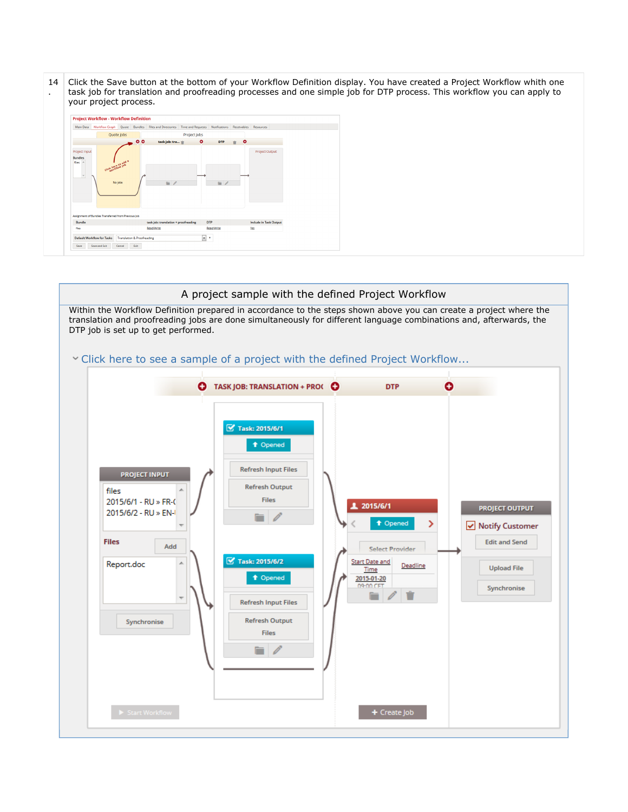14 . Click the Save button at the bottom of your Workflow Definition display. You have created a Project Workflow whith one task job for translation and proofreading processes and one simple job for DTP process. This workflow you can apply to your project process.